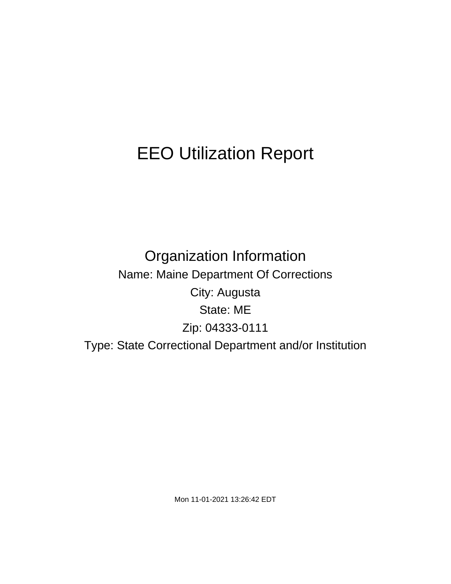# EEO Utilization Report

Organization Information Name: Maine Department Of Corrections City: Augusta State: ME Zip: 04333-0111 Type: State Correctional Department and/or Institution

Mon 11-01-2021 13:26:42 EDT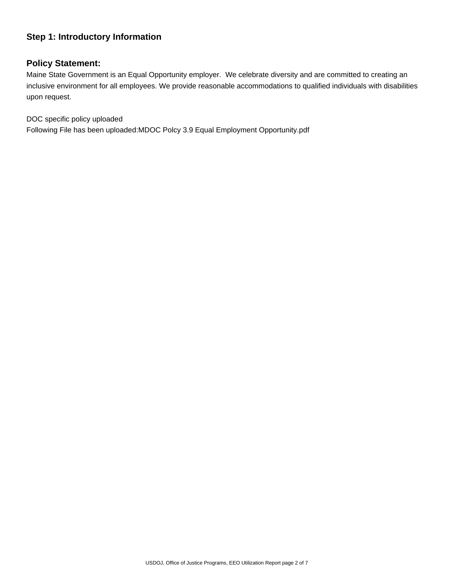# **Step 1: Introductory Information**

## **Policy Statement:**

Maine State Government is an Equal Opportunity employer. We celebrate diversity and are committed to creating an inclusive environment for all employees. We provide reasonable accommodations to qualified individuals with disabilities upon request.

DOC specific policy uploaded

Following File has been uploaded:MDOC Polcy 3.9 Equal Employment Opportunity.pdf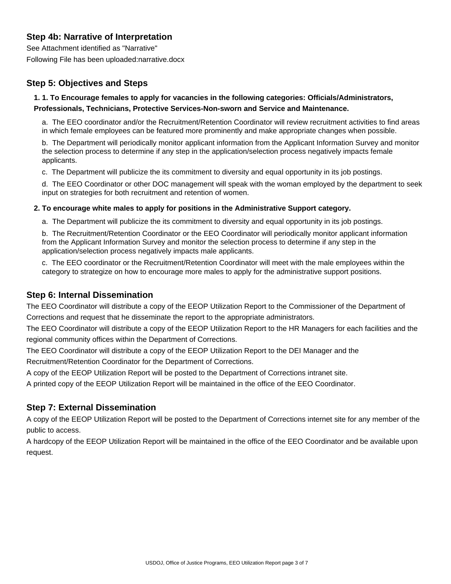# **Step 4b: Narrative of Interpretation**

See Attachment identified as "Narrative" Following File has been uploaded:narrative.docx

# **Step 5: Objectives and Steps**

## **1. 1. To Encourage females to apply for vacancies in the following categories: Officials/Administrators, Professionals, Technicians, Protective Services-Non-sworn and Service and Maintenance.**

a. The EEO coordinator and/or the Recruitment/Retention Coordinator will review recruitment activities to find areas in which female employees can be featured more prominently and make appropriate changes when possible.

b. The Department will periodically monitor applicant information from the Applicant Information Survey and monitor the selection process to determine if any step in the application/selection process negatively impacts female applicants.

c. The Department will publicize the its commitment to diversity and equal opportunity in its job postings.

d. The EEO Coordinator or other DOC management will speak with the woman employed by the department to seek input on strategies for both recruitment and retention of women.

#### **2. To encourage white males to apply for positions in the Administrative Support category.**

a. The Department will publicize the its commitment to diversity and equal opportunity in its job postings.

b. The Recruitment/Retention Coordinator or the EEO Coordinator will periodically monitor applicant information from the Applicant Information Survey and monitor the selection process to determine if any step in the application/selection process negatively impacts male applicants.

c. The EEO coordinator or the Recruitment/Retention Coordinator will meet with the male employees within the category to strategize on how to encourage more males to apply for the administrative support positions.

## **Step 6: Internal Dissemination**

 The EEO Coordinator will distribute a copy of the EEOP Utilization Report to the Commissioner of the Department of Corrections and request that he disseminate the report to the appropriate administrators.

 The EEO Coordinator will distribute a copy of the EEOP Utilization Report to the HR Managers for each facilities and the regional community offices within the Department of Corrections.

 The EEO Coordinator will distribute a copy of the EEOP Utilization Report to the DEI Manager and the Recruitment/Retention Coordinator for the Department of Corrections.

 A copy of the EEOP Utilization Report will be posted to the Department of Corrections intranet site.

 A printed copy of the EEOP Utilization Report will be maintained in the office of the EEO Coordinator.

# **Step 7: External Dissemination**

 A copy of the EEOP Utilization Report will be posted to the Department of Corrections internet site for any member of the public to access.

 A hardcopy of the EEOP Utilization Report will be maintained in the office of the EEO Coordinator and be available upon request.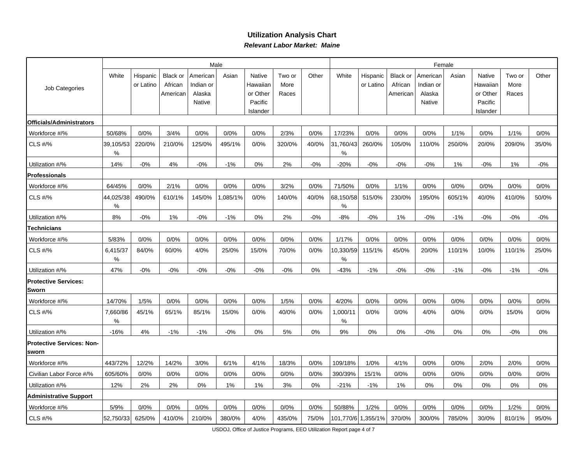## **Utilization Analysis ChartRelevant Labor Market: Maine**

| Job Categories                            |                |                       |                                        |                                           | Male    |                                                       |                         | Female |                 |                       |                                        |                                           |        |                                                       |                         |        |
|-------------------------------------------|----------------|-----------------------|----------------------------------------|-------------------------------------------|---------|-------------------------------------------------------|-------------------------|--------|-----------------|-----------------------|----------------------------------------|-------------------------------------------|--------|-------------------------------------------------------|-------------------------|--------|
|                                           | White          | Hispanic<br>or Latino | <b>Black or</b><br>African<br>American | American<br>Indian or<br>Alaska<br>Native | Asian   | Native<br>Hawaiian<br>or Other<br>Pacific<br>Islander | Two or<br>More<br>Races | Other  | White           | Hispanic<br>or Latino | <b>Black or</b><br>African<br>American | American<br>Indian or<br>Alaska<br>Native | Asian  | Native<br>Hawaiiar<br>or Other<br>Pacific<br>Islander | Two or<br>More<br>Races | Other  |
| Officials/Administrators                  |                |                       |                                        |                                           |         |                                                       |                         |        |                 |                       |                                        |                                           |        |                                                       |                         |        |
| Workforce #/%                             | 50/68%         | 0/0%                  | 3/4%                                   | 0/0%                                      | 0/0%    | 0/0%                                                  | 2/3%                    | 0/0%   | 17/23%          | 0/0%                  | 0/0%                                   | 0/0%                                      | 1/1%   | 0/0%                                                  | 1/1%                    | 0/0%   |
| CLS #/%                                   | 39,105/53<br>% | 220/0%                | 210/0%                                 | 125/0%                                    | 495/1%  | 0/0%                                                  | 320/0%                  | 40/0%  | 31,760/43<br>℅  | 260/0%                | 105/0%                                 | 110/0%                                    | 250/0% | 20/0%                                                 | 209/0%                  | 35/0%  |
| Utilization #/%                           | 14%            | $-0%$                 | 4%                                     | $-0%$                                     | $-1%$   | 0%                                                    | 2%                      | $-0%$  | $-20%$          | $-0%$                 | $-0%$                                  | $-0%$                                     | 1%     | $-0%$                                                 | 1%                      | $-0%$  |
| <b>Professionals</b>                      |                |                       |                                        |                                           |         |                                                       |                         |        |                 |                       |                                        |                                           |        |                                                       |                         |        |
| Workforce #/%                             | 64/45%         | 0/0%                  | 2/1%                                   | 0/0%                                      | 0/0%    | 0/0%                                                  | 3/2%                    | 0/0%   | 71/50%          | 0/0%                  | 1/1%                                   | 0/0%                                      | 0/0%   | 0/0%                                                  | 0/0%                    | 0/0%   |
| CLS #/%                                   | 44,025/38<br>℅ | 490/0%                | 610/1%                                 | 145/0%                                    | ,085/1% | 0/0%                                                  | 140/0%                  | 40/0%  | 68,150/58<br>%  | 515/0%                | 230/0%                                 | 195/0%                                    | 605/1% | 40/0%                                                 | 410/0%                  | 50/0%  |
| Utilization #/%                           | 8%             | $-0\%$                | 1%                                     | $-0\%$                                    | $-1%$   | 0%                                                    | 2%                      | $-0%$  | $-8%$           | $-0%$                 | 1%                                     | $-0%$                                     | $-1%$  | $-0%$                                                 | $-0%$                   | $-0%$  |
| Technicians                               |                |                       |                                        |                                           |         |                                                       |                         |        |                 |                       |                                        |                                           |        |                                                       |                         |        |
| Workforce #/%                             | 5/83%          | 0/0%                  | 0/0%                                   | 0/0%                                      | 0/0%    | 0/0%                                                  | 0/0%                    | 0/0%   | 1/17%           | 0/0%                  | 0/0%                                   | 0/0%                                      | 0/0%   | 0/0%                                                  | 0/0%                    | 0/0%   |
| CLS #/%                                   | 6,415/37<br>%  | 84/0%                 | 60/0%                                  | 4/0%                                      | 25/0%   | 15/0%                                                 | 70/0%                   | 0/0%   | 10,330/59 <br>% | 115/1%                | 45/0%                                  | 20/0%                                     | 110/1% | 10/0%                                                 | 110/1%                  | 25/0%  |
| Utilization #/%                           | 47%            | $-0%$                 | $-0%$                                  | $-0%$                                     | $-0%$   | $-0%$                                                 | $-0%$                   | 0%     | $-43%$          | $-1%$                 | $-0%$                                  | $-0%$                                     | $-1%$  | $-0%$                                                 | $-1%$                   | $-0\%$ |
| <b>Protective Services:</b><br>Sworn      |                |                       |                                        |                                           |         |                                                       |                         |        |                 |                       |                                        |                                           |        |                                                       |                         |        |
| Workforce #/%                             | 14/70%         | 1/5%                  | 0/0%                                   | 0/0%                                      | 0/0%    | 0/0%                                                  | 1/5%                    | 0/0%   | 4/20%           | 0/0%                  | 0/0%                                   | 0/0%                                      | 0/0%   | 0/0%                                                  | 0/0%                    | 0/0%   |
| CLS #/%                                   | 7,660/86<br>℅  | 45/1%                 | 65/1%                                  | 85/1%                                     | 15/0%   | 0/0%                                                  | 40/0%                   | 0/0%   | 1,000/11<br>℅   | 0/0%                  | 0/0%                                   | 4/0%                                      | 0/0%   | 0/0%                                                  | 15/0%                   | 0/0%   |
| Utilization #/%                           | $-16%$         | 4%                    | $-1%$                                  | $-1%$                                     | $-0%$   | 0%                                                    | 5%                      | 0%     | 9%              | 0%                    | 0%                                     | $-0%$                                     | 0%     | 0%                                                    | $-0%$                   | 0%     |
| <b>Protective Services: Non-</b><br>sworn |                |                       |                                        |                                           |         |                                                       |                         |        |                 |                       |                                        |                                           |        |                                                       |                         |        |
| Workforce #/%                             | 443/72%        | 12/2%                 | 14/2%                                  | 3/0%                                      | 6/1%    | 4/1%                                                  | 18/3%                   | 0/0%   | 109/18%         | 1/0%                  | 4/1%                                   | 0/0%                                      | 0/0%   | 2/0%                                                  | 2/0%                    | 0/0%   |
| Civilian Labor Force #/%                  | 605/60%        | 0/0%                  | 0/0%                                   | 0/0%                                      | 0/0%    | 0/0%                                                  | 0/0%                    | 0/0%   | 390/39%         | 15/1%                 | 0/0%                                   | 0/0%                                      | 0/0%   | 0/0%                                                  | 0/0%                    | 0/0%   |
| Utilization #/%                           | 12%            | 2%                    | 2%                                     | 0%                                        | 1%      | 1%                                                    | 3%                      | 0%     | $-21%$          | $-1%$                 | 1%                                     | 0%                                        | 0%     | 0%                                                    | 0%                      | 0%     |
| <b>Administrative Support</b>             |                |                       |                                        |                                           |         |                                                       |                         |        |                 |                       |                                        |                                           |        |                                                       |                         |        |
| Workforce #/%                             | 5/9%           | 0/0%                  | 0/0%                                   | 0/0%                                      | 0/0%    | 0/0%                                                  | 0/0%                    | 0/0%   | 50/88%          | 1/2%                  | 0/0%                                   | 0/0%                                      | 0/0%   | 0/0%                                                  | 1/2%                    | 0/0%   |
| <b>CLS #/%</b>                            | 52,750/33      | 625/0%                | 410/0%                                 | 210/0%                                    | 380/0%  | 4/0%                                                  | 435/0%                  | 75/0%  |                 | 101,770/6 1,355/1%    | 370/0%                                 | 300/0%                                    | 785/0% | 30/0%                                                 | 810/1%                  | 95/0%  |

USDOJ, Office of Justice Programs, EEO Utilization Report page 4 of 7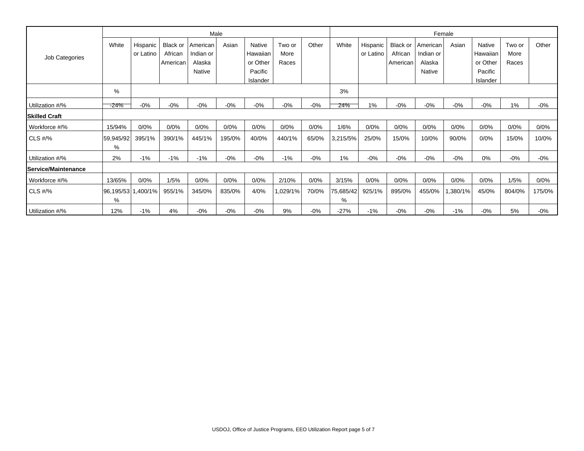|                      |                         |                       |                            |                       | Male   |                     |                | Female |                |                       |                     |                       |         |                     |                |        |
|----------------------|-------------------------|-----------------------|----------------------------|-----------------------|--------|---------------------|----------------|--------|----------------|-----------------------|---------------------|-----------------------|---------|---------------------|----------------|--------|
| Job Categories       | White                   | Hispanic<br>or Latino | <b>Black or</b><br>African | American<br>Indian or | Asian  | Native<br>Hawaiian  | Two or<br>More | Other  | White          | Hispanic<br>or Latino | Black or<br>African | American<br>Indian or | Asian   | Native<br>Hawaiian  | Two or<br>More | Other  |
|                      |                         |                       | American                   | Alaska                |        | or Other            | Races          |        |                |                       | American            | Alaska                |         | or Other            | Races          |        |
|                      |                         |                       |                            | Native                |        | Pacific<br>Islander |                |        |                |                       |                     | Native                |         | Pacific<br>Islander |                |        |
|                      | %                       |                       |                            |                       |        |                     |                |        |                |                       |                     |                       |         |                     |                |        |
| Utilization #/%      | $-24%$                  | $-0%$                 | $-0%$                      | $-0%$                 | $-0\%$ | $-0\%$              | $-0%$          | $-0%$  | 24%            | 1%                    | $-0%$               | $-0%$                 | $-0%$   | $-0%$               | 1%             | $-0%$  |
| <b>Skilled Craft</b> |                         |                       |                            |                       |        |                     |                |        |                |                       |                     |                       |         |                     |                |        |
| Workforce #/%        | 15/94%                  | 0/0%                  | 0/0%                       | 0/0%                  | 0/0%   | 0/0%                | 0/0%           | 0/0%   | 1/6%           | 0/0%                  | 0/0%                | 0/0%                  | 0/0%    | 0/0%                | 0/0%           | 0/0%   |
| $CLS$ #/%            | 59,945/92<br>%          | 395/1%                | 390/1%                     | 445/1%                | 195/0% | 40/0%               | 440/1%         | 65/0%  | 3,215/5%       | 25/0%                 | 15/0%               | 10/0%                 | 90/0%   | 0/0%                | 15/0%          | 10/0%  |
| Utilization #/%      | 2%                      | $-1%$                 | $-1%$                      | $-1\%$                | $-0\%$ | $-0\%$              | $-1%$          | $-0%$  | 1%             | $-0%$                 | $-0%$               | $-0%$                 | $-0%$   | 0%                  | $-0%$          | $-0\%$ |
| Service/Maintenance  |                         |                       |                            |                       |        |                     |                |        |                |                       |                     |                       |         |                     |                |        |
| Workforce #/%        | 13/65%                  | 0/0%                  | 1/5%                       | 0/0%                  | 0/0%   | 0/0%                | 2/10%          | 0/0%   | 3/15%          | 0/0%                  | 0/0%                | 0/0%                  | 0/0%    | 0/0%                | 1/5%           | 0/0%   |
| $CLS$ #/%            | 96,195/53 1,400/1%<br>% |                       | 955/1%                     | 345/0%                | 835/0% | 4/0%                | 1,029/1%       | 70/0%  | 75,685/42<br>% | 925/1%                | 895/0%              | 455/0%                | 380/1%, | 45/0%               | 804/0%         | 175/0% |
| Utilization #/%      | 12%                     | $-1%$                 | 4%                         | $-0%$                 | $-0\%$ | $-0\%$              | 9%             | $-0%$  | $-27%$         | $-1%$                 | $-0%$               | $-0%$                 | $-1%$   | $-0%$               | 5%             | -0%    |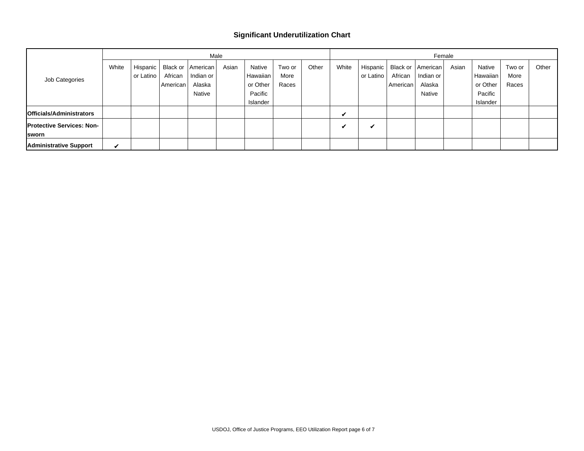## **Significant Underutilization Chart**

|                                  |       |           |          |                     | Male  |          |        | Female |       |           |          |                     |       |          |        |       |
|----------------------------------|-------|-----------|----------|---------------------|-------|----------|--------|--------|-------|-----------|----------|---------------------|-------|----------|--------|-------|
| Job Categories                   | White | Hispanic  |          | Black or   American | Asian | Native   | Two or | Other  | White | Hispanic  |          | Black or   American | Asian | Native   | Two or | Other |
|                                  |       | or Latino | African  | Indian or           |       | Hawaiian | More   |        |       | or Latino | African  | Indian or           |       | Hawaiian | More   |       |
|                                  |       |           | American | Alaska              |       | or Other | Races  |        |       |           | American | Alaska              |       | or Other | Races  |       |
|                                  |       |           |          | Native              |       | Pacific  |        |        |       |           |          | <b>Native</b>       |       | Pacific  |        |       |
|                                  |       |           |          |                     |       | Islander |        |        |       |           |          |                     |       | Islander |        |       |
| <b>Officials/Administrators</b>  |       |           |          |                     |       |          |        |        | V     |           |          |                     |       |          |        |       |
| <b>Protective Services: Non-</b> |       |           |          |                     |       |          |        |        | v     | M         |          |                     |       |          |        |       |
| <b>Sworn</b>                     |       |           |          |                     |       |          |        |        |       |           |          |                     |       |          |        |       |
| <b>Administrative Support</b>    | ✔     |           |          |                     |       |          |        |        |       |           |          |                     |       |          |        |       |